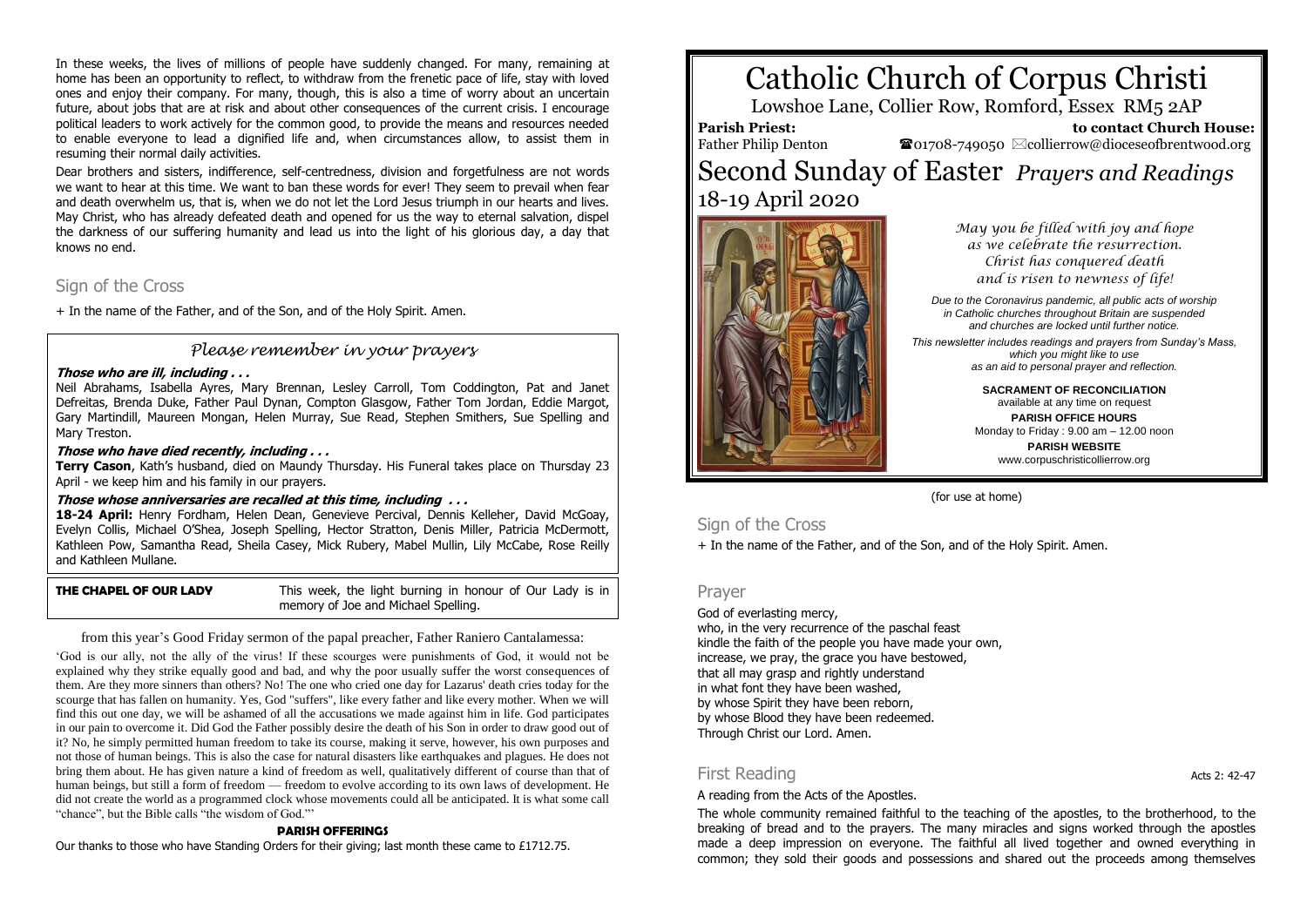In these weeks, the lives of millions of people have suddenly changed. For many, remaining at home has been an opportunity to reflect, to withdraw from the frenetic pace of life, stay with loved ones and enjoy their company. For many, though, this is also a time of worry about an uncertain future, about jobs that are at risk and about other consequences of the current crisis. I encourage political leaders to work actively for the common good, to provide the means and resources needed to enable everyone to lead a dignified life and, when circumstances allow, to assist them in resuming their normal daily activities.

Dear brothers and sisters, indifference, self-centredness, division and forgetfulness are not words we want to hear at this time. We want to ban these words for ever! They seem to prevail when fear and death overwhelm us, that is, when we do not let the Lord Jesus triumph in our hearts and lives. May Christ, who has already defeated death and opened for us the way to eternal salvation, dispel the darkness of our suffering humanity and lead us into the light of his glorious day, a day that knows no end.

# Sign of the Cross

+ In the name of the Father, and of the Son, and of the Holy Spirit. Amen.

# *Please remember in your prayers*

#### **Those who are ill, including . . .**

Neil Abrahams, Isabella Ayres, Mary Brennan, Lesley Carroll, Tom Coddington, Pat and Janet Defreitas, Brenda Duke, Father Paul Dynan, Compton Glasgow, Father Tom Jordan, Eddie Margot, Gary Martindill, Maureen Mongan, Helen Murray, Sue Read, Stephen Smithers, Sue Spelling and Mary Treston.

#### **Those who have died recently, including . . .**

**Terry Cason**, Kath's husband, died on Maundy Thursday. His Funeral takes place on Thursday 23 April - we keep him and his family in our prayers.

#### **Those whose anniversaries are recalled at this time, including . . .**

**18-24 April:** Henry Fordham, Helen Dean, Genevieve Percival, Dennis Kelleher, David McGoay, Evelyn Collis, Michael O'Shea, Joseph Spelling, Hector Stratton, Denis Miller, Patricia McDermott, Kathleen Pow, Samantha Read, Sheila Casey, Mick Rubery, Mabel Mullin, Lily McCabe, Rose Reilly and Kathleen Mullane.

**THE CHAPEL OF OUR LADY** This week, the light burning in honour of Our Lady is in memory of Joe and Michael Spelling.

from this year's Good Friday sermon of the papal preacher, Father Raniero Cantalamessa:

'God is our ally, not the ally of the virus! If these scourges were punishments of God, it would not be explained why they strike equally good and bad, and why the poor usually suffer the worst consequences of them. Are they more sinners than others? No! The one who cried one day for Lazarus' death cries today for the scourge that has fallen on humanity. Yes, God "suffers", like every father and like every mother. When we will find this out one day, we will be ashamed of all the accusations we made against him in life. God participates in our pain to overcome it. Did God the Father possibly desire the death of his Son in order to draw good out of it? No, he simply permitted human freedom to take its course, making it serve, however, his own purposes and not those of human beings. This is also the case for natural disasters like earthquakes and plagues. He does not bring them about. He has given nature a kind of freedom as well, qualitatively different of course than that of human beings, but still a form of freedom — freedom to evolve according to its own laws of development. He did not create the world as a programmed clock whose movements could all be anticipated. It is what some call "chance", but the Bible calls "the wisdom of God."'

### **PARISH OFFERINGS**

Our thanks to those who have Standing Orders for their giving; last month these came to £1712.75.

# Catholic Church of Corpus Christi

Lowshoe Lane, Collier Row, Romford, Essex RM5 2AP

#### **Parish Priest:** Father Philip Denton

 **to contact Church House:**  $\bullet$ 01708-749050  $\boxtimes$ collierrow@dioceseofbrentwood.org

# Second Sunday of Easter *Prayers and Readings* 18-19 April 2020



*May you be filled with joy and hope as we celebrate the resurrection. Christ has conquered death and is risen to newness of life!*

*Due to the Coronavirus pandemic, all public acts of worship in Catholic churches throughout Britain are suspended and churches are locked until further notice.*

*This newsletter includes readings and prayers from Sunday's Mass, which you might like to use as an aid to personal prayer and reflection.*

> **SACRAMENT OF RECONCILIATION** available at any time on request **PARISH OFFICE HOURS** Monday to Friday : 9.00 am – 12.00 noon **PARISH WEBSITE**

www.corpuschristicollierrow.org

(for use at home)

# Sign of the Cross

+ In the name of the Father, and of the Son, and of the Holy Spirit. Amen.

#### Prayer

God of everlasting mercy,

who, in the very recurrence of the paschal feast kindle the faith of the people you have made your own, increase, we pray, the grace you have bestowed, that all may grasp and rightly understand in what font they have been washed, by whose Spirit they have been reborn, by whose Blood they have been redeemed. Through Christ our Lord. Amen.

# First Reading **Acts** 2: 42-47

A reading from the Acts of the Apostles.

The whole community remained faithful to the teaching of the apostles, to the brotherhood, to the breaking of bread and to the prayers. The many miracles and signs worked through the apostles made a deep impression on everyone. The faithful all lived together and owned everything in common; they sold their goods and possessions and shared out the proceeds among themselves